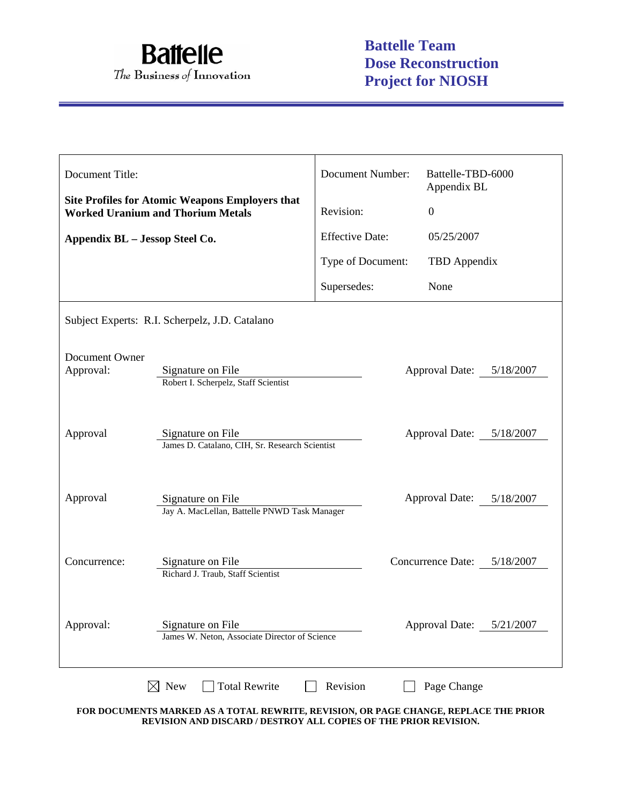

| Document Title:                |                                                                                                                                 | Document Number:       | Battelle-TBD-6000<br>Appendix BL   |
|--------------------------------|---------------------------------------------------------------------------------------------------------------------------------|------------------------|------------------------------------|
|                                | <b>Site Profiles for Atomic Weapons Employers that</b><br><b>Worked Uranium and Thorium Metals</b>                              | Revision:              | $\overline{0}$                     |
| Appendix BL - Jessop Steel Co. |                                                                                                                                 | <b>Effective Date:</b> | 05/25/2007                         |
|                                |                                                                                                                                 | Type of Document:      | TBD Appendix                       |
|                                |                                                                                                                                 | Supersedes:            | None                               |
|                                | Subject Experts: R.I. Scherpelz, J.D. Catalano                                                                                  |                        |                                    |
| Document Owner<br>Approval:    | Signature on File<br>Robert I. Scherpelz, Staff Scientist                                                                       |                        | Approval Date: 5/18/2007           |
| Approval                       | Signature on File<br>James D. Catalano, CIH, Sr. Research Scientist                                                             |                        | Approval Date: 5/18/2007           |
| Approval                       | Signature on File<br>Jay A. MacLellan, Battelle PNWD Task Manager                                                               |                        | <b>Approval Date:</b><br>5/18/2007 |
| Concurrence:                   | Signature on File<br>Richard J. Traub, Staff Scientist                                                                          |                        | Concurrence Date: 5/18/2007        |
| Approval:                      | Signature on File<br>James W. Neton, Associate Director of Science                                                              |                        | Approval Date: 5/21/2007           |
|                                | $\boxtimes$ New<br><b>Total Rewrite</b><br>FOR DOCUMENTS MARKED AS A TOTAL REWRITE, REVISION, OR PAGE CHANGE, REPLACE THE PRIOR | Revision               | Page Change                        |

**FOR DOCUMENTS MARKED AS A TOTAL REWRITE, REVISION, OR PAGE CHANGE, REPLACE THE PRIOR REVISION AND DISCARD / DESTROY ALL COPIES OF THE PRIOR REVISION.**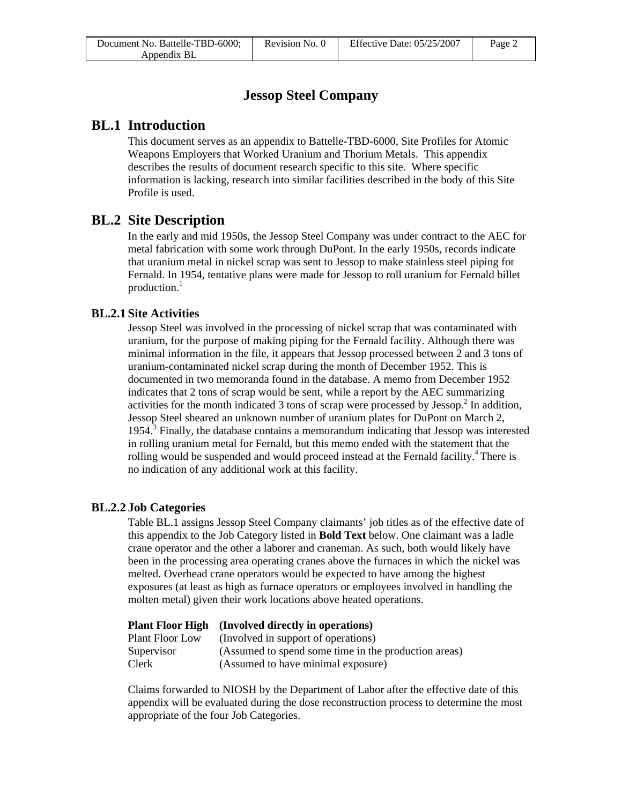# **Jessop Steel Company**

## **BL.1 Introduction**

This document serves as an appendix to Battelle-TBD-6000, Site Profiles for Atomic Weapons Employers that Worked Uranium and Thorium Metals. This appendix describes the results of document research specific to this site. Where specific information is lacking, research into similar facilities described in the body of this Site Profile is used.

## **BL.2 Site Description**

In the early and mid 1950s, the Jessop Steel Company was under contract to the AEC for metal fabrication with some work through DuPont. In the early 1950s, records indicate that uranium metal in nickel scrap was sent to Jessop to make stainless steel piping for Fernald. In 1954, tentative plans were made for Jessop to roll uranium for Fernald billet production.<sup>1</sup>

### **BL.2.1 Site Activities**

Jessop Steel was involved in the processing of nickel scrap that was contaminated with uranium, for the purpose of making piping for the Fernald facility. Although there was minimal information in the file, it appears that Jessop processed between 2 and 3 tons of uranium-contaminated nickel scrap during the month of December 1952. This is documented in two memoranda found in the database. A memo from December 1952 indicates that 2 tons of scrap would be sent, while a report by the AEC summarizing activities for the month indicated 3 tons of scrap were processed by Jessop. $^2$  In addition, Jessop Steel sheared an unknown number of uranium plates for DuPont on March 2,  $1954$ <sup>3</sup> Finally, the database contains a memorandum indicating that Jessop was interested in rolling uranium metal for Fernald, but this memo ended with the statement that the rolling would be suspended and would proceed instead at the Fernald facility.<sup>4</sup> There is no indication of any additional work at this facility.

### **BL.2.2 Job Categories**

Table BL.1 assigns Jessop Steel Company claimants' job titles as of the effective date of this appendix to the Job Category listed in **Bold Text** below. One claimant was a ladle crane operator and the other a laborer and craneman. As such, both would likely have been in the processing area operating cranes above the furnaces in which the nickel was melted. Overhead crane operators would be expected to have among the highest exposures (at least as high as furnace operators or employees involved in handling the molten metal) given their work locations above heated operations.

### **Plant Floor High (Involved directly in operations)**

| Plant Floor Low | (Involved in support of operations)                  |
|-----------------|------------------------------------------------------|
| Supervisor      | (Assumed to spend some time in the production areas) |
| Clerk           | (Assumed to have minimal exposure)                   |

Claims forwarded to NIOSH by the Department of Labor after the effective date of this appendix will be evaluated during the dose reconstruction process to determine the most appropriate of the four Job Categories.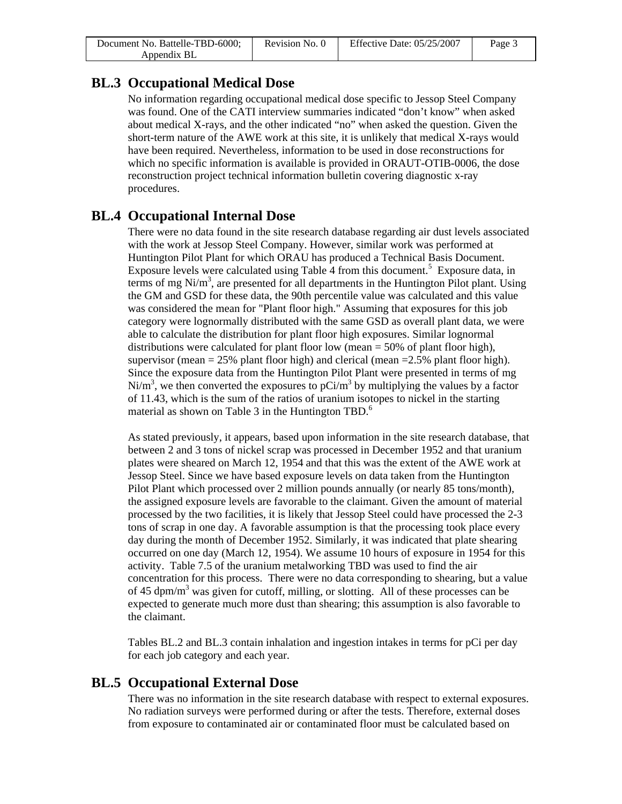| Document No. Battelle-TBD-6000; | Revision No. 0 | Effective Date: $05/25/2007$ | Page 3 |
|---------------------------------|----------------|------------------------------|--------|
| Appendix BL                     |                |                              |        |

## **BL.3 Occupational Medical Dose**

No information regarding occupational medical dose specific to Jessop Steel Company was found. One of the CATI interview summaries indicated "don't know" when asked about medical X-rays, and the other indicated "no" when asked the question. Given the short-term nature of the AWE work at this site, it is unlikely that medical X-rays would have been required. Nevertheless, information to be used in dose reconstructions for which no specific information is available is provided in ORAUT-OTIB-0006, the dose reconstruction project technical information bulletin covering diagnostic x-ray procedures.

## **BL.4 Occupational Internal Dose**

There were no data found in the site research database regarding air dust levels associated with the work at Jessop Steel Company. However, similar work was performed at Huntington Pilot Plant for which ORAU has produced a Technical Basis Document. Exposure levels were calculated using Table  $\overline{4}$  from this document.<sup>5</sup> Exposure data, in terms of mg  $Ni/m<sup>3</sup>$ , are presented for all departments in the Huntington Pilot plant. Using the GM and GSD for these data, the 90th percentile value was calculated and this value was considered the mean for "Plant floor high." Assuming that exposures for this job category were lognormally distributed with the same GSD as overall plant data, we were able to calculate the distribution for plant floor high exposures. Similar lognormal distributions were calculated for plant floor low (mean = 50% of plant floor high), supervisor (mean  $= 25\%$  plant floor high) and clerical (mean  $= 2.5\%$  plant floor high). Since the exposure data from the Huntington Pilot Plant were presented in terms of mg Ni/m<sup>3</sup>, we then converted the exposures to pCi/m<sup>3</sup> by multiplying the values by a factor of 11.43, which is the sum of the ratios of uranium isotopes to nickel in the starting material as shown on Table 3 in the Huntington TBD. $<sup>6</sup>$ </sup>

As stated previously, it appears, based upon information in the site research database, that between 2 and 3 tons of nickel scrap was processed in December 1952 and that uranium plates were sheared on March 12, 1954 and that this was the extent of the AWE work at Jessop Steel. Since we have based exposure levels on data taken from the Huntington Pilot Plant which processed over 2 million pounds annually (or nearly 85 tons/month), the assigned exposure levels are favorable to the claimant. Given the amount of material processed by the two facilities, it is likely that Jessop Steel could have processed the 2-3 tons of scrap in one day. A favorable assumption is that the processing took place every day during the month of December 1952. Similarly, it was indicated that plate shearing occurred on one day (March 12, 1954). We assume 10 hours of exposure in 1954 for this activity. Table 7.5 of the uranium metalworking TBD was used to find the air concentration for this process. There were no data corresponding to shearing, but a value of 45 dpm/m<sup>3</sup> was given for cutoff, milling, or slotting. All of these processes can be expected to generate much more dust than shearing; this assumption is also favorable to the claimant.

Tables BL.2 and BL.3 contain inhalation and ingestion intakes in terms for pCi per day for each job category and each year.

# **BL.5 Occupational External Dose**

There was no information in the site research database with respect to external exposures. No radiation surveys were performed during or after the tests. Therefore, external doses from exposure to contaminated air or contaminated floor must be calculated based on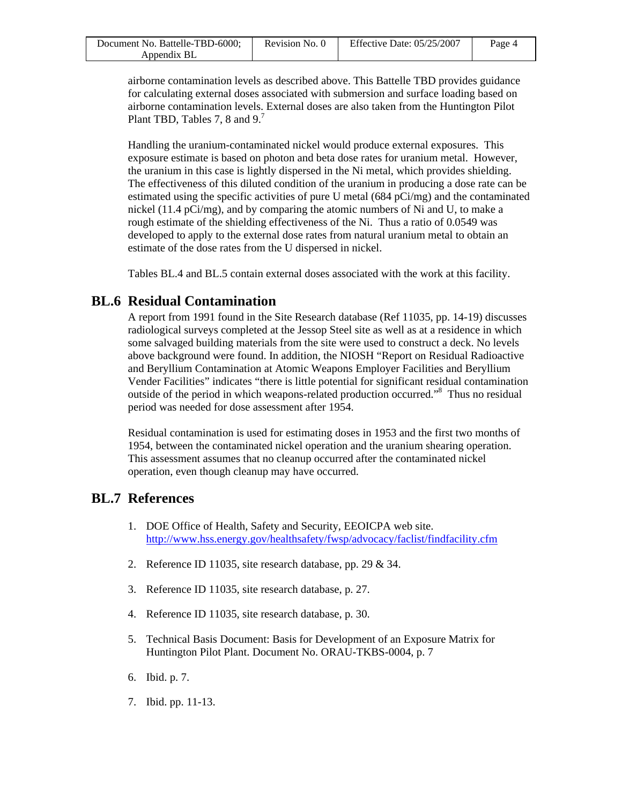| Document No. Battelle-TBD-6000; | Revision No. 0 | Effective Date: $05/25/2007$ | Page 4 |
|---------------------------------|----------------|------------------------------|--------|
| Appendix BL                     |                |                              |        |

airborne contamination levels as described above. This Battelle TBD provides guidance for calculating external doses associated with submersion and surface loading based on airborne contamination levels. External doses are also taken from the Huntington Pilot Plant TBD, Tables 7, 8 and 9.<sup>7</sup>

Handling the uranium-contaminated nickel would produce external exposures. This exposure estimate is based on photon and beta dose rates for uranium metal. However, the uranium in this case is lightly dispersed in the Ni metal, which provides shielding. The effectiveness of this diluted condition of the uranium in producing a dose rate can be estimated using the specific activities of pure U metal (684 pCi/mg) and the contaminated nickel (11.4  $pCi/mg$ ), and by comparing the atomic numbers of Ni and U, to make a rough estimate of the shielding effectiveness of the Ni. Thus a ratio of 0.0549 was developed to apply to the external dose rates from natural uranium metal to obtain an estimate of the dose rates from the U dispersed in nickel.

Tables BL.4 and BL.5 contain external doses associated with the work at this facility.

## **BL.6 Residual Contamination**

A report from 1991 found in the Site Research database (Ref 11035, pp. 14-19) discusses radiological surveys completed at the Jessop Steel site as well as at a residence in which some salvaged building materials from the site were used to construct a deck. No levels above background were found. In addition, the NIOSH "Report on Residual Radioactive and Beryllium Contamination at Atomic Weapons Employer Facilities and Beryllium Vender Facilities" indicates "there is little potential for significant residual contamination outside of the period in which weapons-related production occurred."8 Thus no residual period was needed for dose assessment after 1954.

Residual contamination is used for estimating doses in 1953 and the first two months of 1954, between the contaminated nickel operation and the uranium shearing operation. This assessment assumes that no cleanup occurred after the contaminated nickel operation, even though cleanup may have occurred.

# **BL.7 References**

- 1. DOE Office of Health, Safety and Security, EEOICPA web site. <http://www.hss.energy.gov/healthsafety/fwsp/advocacy/faclist/findfacility.cfm>
- 2. Reference ID 11035, site research database, pp. 29 & 34.
- 3. Reference ID 11035, site research database, p. 27.
- 4. Reference ID 11035, site research database, p. 30.
- 5. Technical Basis Document: Basis for Development of an Exposure Matrix for Huntington Pilot Plant. Document No. ORAU-TKBS-0004, p. 7
- 6. Ibid. p. 7.
- 7. Ibid. pp. 11-13.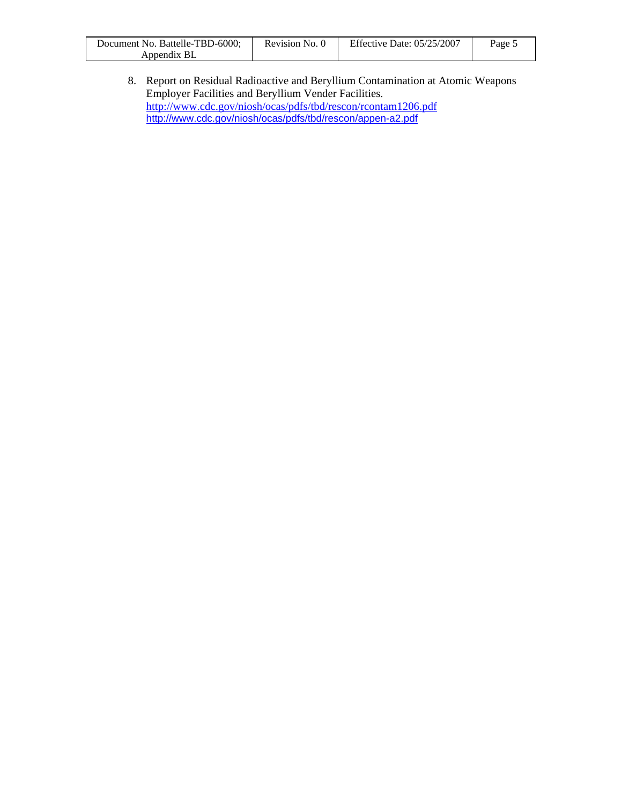| Document No. Battelle-TBD-6000; | Revision No. 0 | Effective Date: $05/25/2007$ | Page 5 |
|---------------------------------|----------------|------------------------------|--------|
| Appendix BL                     |                |                              |        |

8. Report on Residual Radioactive and Beryllium Contamination at Atomic Weapons Employer Facilities and Beryllium Vender Facilities. <http://www.cdc.gov/niosh/ocas/pdfs/tbd/rescon/rcontam1206.pdf> <http://www.cdc.gov/niosh/ocas/pdfs/tbd/rescon/appen-a2.pdf>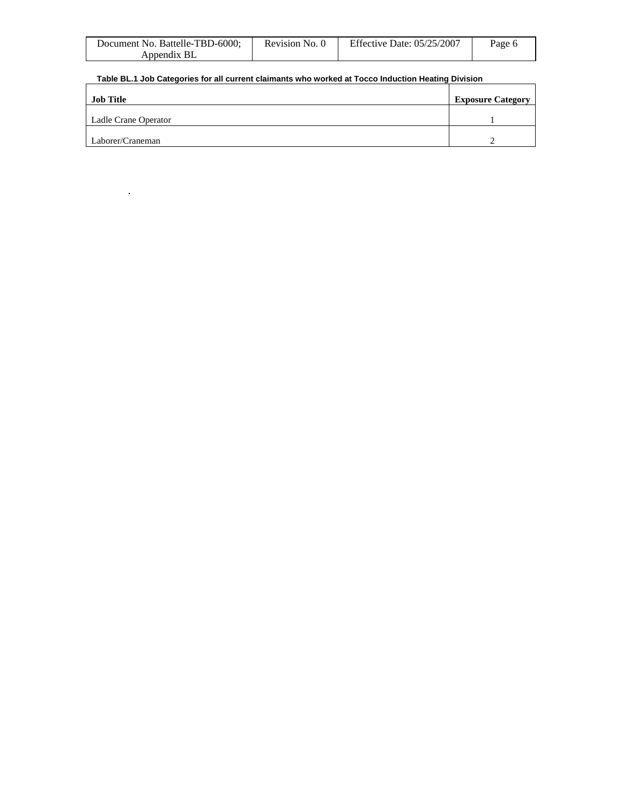| Document No. Battelle-TBD-6000; | Revision No. 0 | <b>Effective Date: 05/25/2007</b> | Page 6 |
|---------------------------------|----------------|-----------------------------------|--------|
| Appendix BL                     |                |                                   |        |

#### **Table BL.1 Job Categories for all current claimants who worked at Tocco Induction Heating Division**

.

| <b>Job Title</b>     | <b>Exposure Category</b> |
|----------------------|--------------------------|
| Ladle Crane Operator |                          |
| Laborer/Craneman     |                          |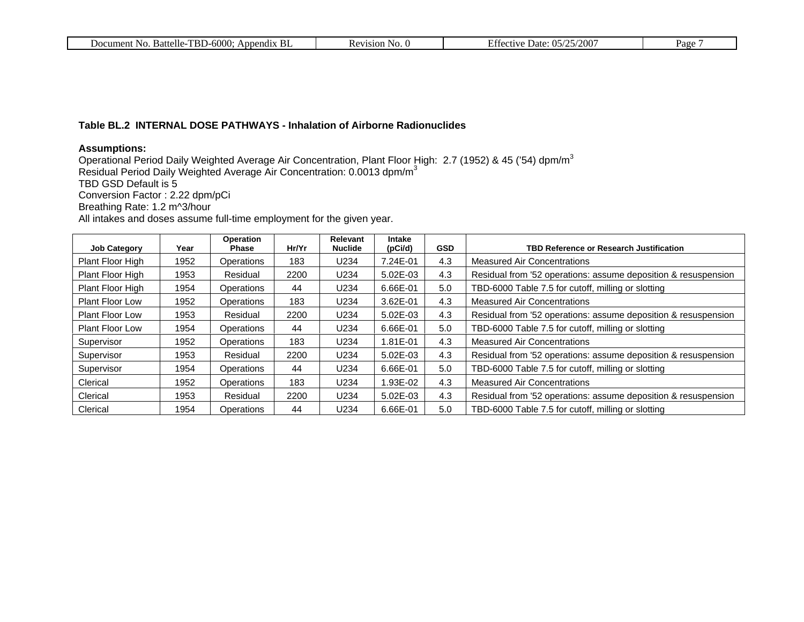| $TBD-6000:$<br>Document No.<br>Battelle-T<br>Append <sub>1X</sub><br>ВI | evision'.<br>N <sub>O</sub><br>. . | /25/200<br><b>Date:</b> $05/$<br>Effective | Page |
|-------------------------------------------------------------------------|------------------------------------|--------------------------------------------|------|
|-------------------------------------------------------------------------|------------------------------------|--------------------------------------------|------|

#### **Table BL.2 INTERNAL DOSE PATHWAYS - Inhalation of Airborne Radionuclides**

#### **Assumptions:**

Operational Period Daily Weighted Average Air Concentration, Plant Floor High: 2.7 (1952) & 45 ('54) dpm/m $^3$ Residual Period Daily Weighted Average Air Concentration: 0.0013 dpm/m $^3$ TBD GSD Default is 5 Conversion Factor : 2.22 dpm/pCi Breathing Rate: 1.2 m^3/hour All intakes and doses assume full-time employment for the given year.

|                        |      | Operation  | Hr/Yr | Relevant<br><b>Nuclide</b> | <b>Intake</b> | <b>GSD</b> | TBD Reference or Research Justification                        |
|------------------------|------|------------|-------|----------------------------|---------------|------------|----------------------------------------------------------------|
| <b>Job Category</b>    | Year | Phase      |       |                            | (pCi/d)       |            |                                                                |
| Plant Floor High       | 1952 | Operations | 183   | U234                       | 7.24E-01      | 4.3        | <b>Measured Air Concentrations</b>                             |
| Plant Floor High       | 1953 | Residual   | 2200  | U234                       | 5.02E-03      | 4.3        | Residual from '52 operations: assume deposition & resuspension |
| Plant Floor High       | 1954 | Operations | 44    | U234                       | 6.66E-01      | 5.0        | TBD-6000 Table 7.5 for cutoff, milling or slotting             |
| <b>Plant Floor Low</b> | 1952 | Operations | 183   | U234                       | 3.62E-01      | 4.3        | <b>Measured Air Concentrations</b>                             |
| <b>Plant Floor Low</b> | 1953 | Residual   | 2200  | U234                       | 5.02E-03      | 4.3        | Residual from '52 operations: assume deposition & resuspension |
| <b>Plant Floor Low</b> | 1954 | Operations | 44    | U234                       | 6.66E-01      | 5.0        | TBD-6000 Table 7.5 for cutoff, milling or slotting             |
| Supervisor             | 1952 | Operations | 183   | U234                       | 1.81E-01      | 4.3        | <b>Measured Air Concentrations</b>                             |
| Supervisor             | 1953 | Residual   | 2200  | U234                       | 5.02E-03      | 4.3        | Residual from '52 operations: assume deposition & resuspension |
| Supervisor             | 1954 | Operations | 44    | U234                       | 6.66E-01      | 5.0        | TBD-6000 Table 7.5 for cutoff, milling or slotting             |
| Clerical               | 1952 | Operations | 183   | U234                       | 1.93E-02      | 4.3        | <b>Measured Air Concentrations</b>                             |
| Clerical               | 1953 | Residual   | 2200  | U234                       | 5.02E-03      | 4.3        | Residual from '52 operations: assume deposition & resuspension |
| Clerical               | 1954 | Operations | 44    | U234                       | 6.66E-01      | 5.0        | TBD-6000 Table 7.5 for cutoff, milling or slotting             |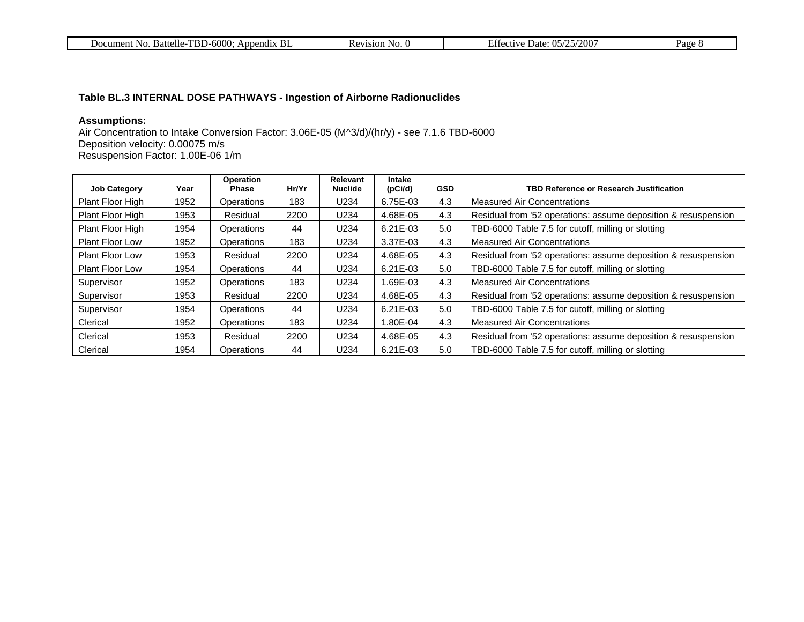| 6000<br>TDI<br>Battelle-<br>Appendix<br>Document No<br>.<br>D.<br>DI.<br>NU. | 1S1OF<br>NO.<br>ינ | $200^{\circ}$<br>/רוו<br>.001177<br>Date: | Paσe<br>. u. |
|------------------------------------------------------------------------------|--------------------|-------------------------------------------|--------------|
|------------------------------------------------------------------------------|--------------------|-------------------------------------------|--------------|

### **Table BL.3 INTERNAL DOSE PATHWAYS - Ingestion of Airborne Radionuclides**

### **Assumptions:**

Air Concentration to Intake Conversion Factor: 3.06E-05 (M^3/d)/(hr/y) - see 7.1.6 TBD-6000 Deposition velocity: 0.00075 m/s Resuspension Factor: 1.00E-06 1/m

| <b>Job Category</b>    | Year | Operation<br>Phase | Hr/Yr | <b>Relevant</b><br><b>Nuclide</b> | <b>Intake</b><br>(pCi/d) | <b>GSD</b> | <b>TBD Reference or Research Justification</b>                 |
|------------------------|------|--------------------|-------|-----------------------------------|--------------------------|------------|----------------------------------------------------------------|
| Plant Floor High       | 1952 | Operations         | 183   | U234                              | 6.75E-03                 | 4.3        | <b>Measured Air Concentrations</b>                             |
| Plant Floor High       | 1953 | Residual           | 2200  | U234                              | 4.68E-05                 | 4.3        | Residual from '52 operations: assume deposition & resuspension |
| Plant Floor High       | 1954 | <b>Operations</b>  | 44    | U234                              | 6.21E-03                 | 5.0        | TBD-6000 Table 7.5 for cutoff, milling or slotting             |
| <b>Plant Floor Low</b> | 1952 | <b>Operations</b>  | 183   | U234                              | 3.37E-03                 | 4.3        | <b>Measured Air Concentrations</b>                             |
| <b>Plant Floor Low</b> | 1953 | Residual           | 2200  | U234                              | 4.68E-05                 | 4.3        | Residual from '52 operations: assume deposition & resuspension |
| Plant Floor Low        | 1954 | <b>Operations</b>  | 44    | U234                              | $6.21E-03$               | 5.0        | TBD-6000 Table 7.5 for cutoff, milling or slotting             |
| Supervisor             | 1952 | <b>Operations</b>  | 183   | U234                              | 1.69E-03                 | 4.3        | Measured Air Concentrations                                    |
| Supervisor             | 1953 | Residual           | 2200  | U234                              | 4.68E-05                 | 4.3        | Residual from '52 operations: assume deposition & resuspension |
| Supervisor             | 1954 | Operations         | 44    | U234                              | $6.21E-03$               | 5.0        | TBD-6000 Table 7.5 for cutoff, milling or slotting             |
| Clerical               | 1952 | <b>Operations</b>  | 183   | U234                              | 1.80E-04                 | 4.3        | <b>Measured Air Concentrations</b>                             |
| Clerical               | 1953 | Residual           | 2200  | U234                              | 4.68E-05                 | 4.3        | Residual from '52 operations: assume deposition & resuspension |
| Clerical               | 1954 | Operations         | 44    | U234                              | 6.21E-03                 | 5.0        | TBD-6000 Table 7.5 for cutoff, milling or slotting             |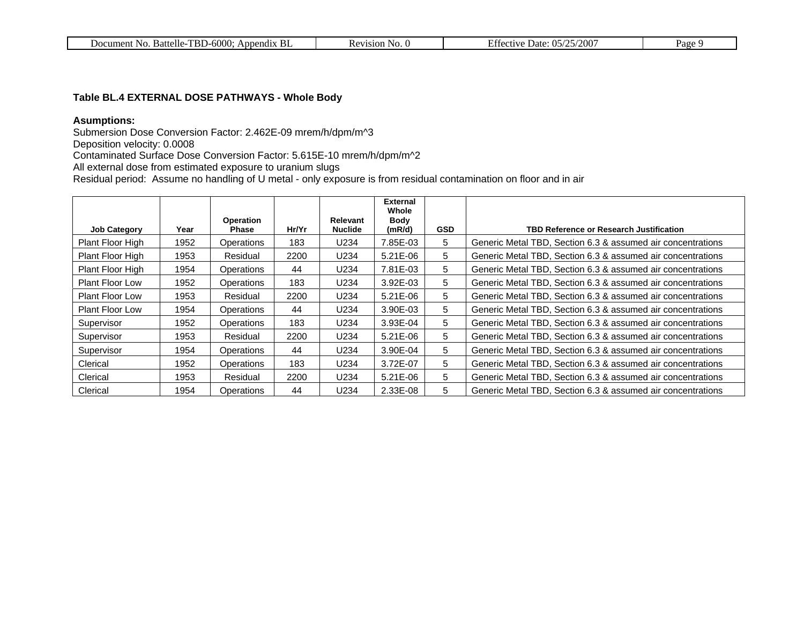| R <sub>l</sub><br>$TBD-6000:$<br>Battelle-T<br>Appendix<br>Document No | N <sub>c</sub><br>31 O N<br>NV.<br>`` | $-5/200$<br>$\Box$ $\alpha$<br>Date: 05/2<br>ectue | Page |
|------------------------------------------------------------------------|---------------------------------------|----------------------------------------------------|------|
|------------------------------------------------------------------------|---------------------------------------|----------------------------------------------------|------|

#### **Table BL.4 EXTERNAL DOSE PATHWAYS - Whole Body**

#### **Asumptions:**

Submersion Dose Conversion Factor: 2.462E-09 mrem/h/dpm/m^3

Deposition velocity: 0.0008

Contaminated Surface Dose Conversion Factor: 5.615E-10 mrem/h/dpm/m^2

All external dose from estimated exposure to uranium slugs

Residual period: Assume no handling of U metal - only exposure is from residual contamination on floor and in air

|                        |      |                   |       |                | <b>External</b><br>Whole |            |                                                             |
|------------------------|------|-------------------|-------|----------------|--------------------------|------------|-------------------------------------------------------------|
|                        |      | <b>Operation</b>  |       | Relevant       | <b>Body</b>              |            |                                                             |
| <b>Job Category</b>    | Year | Phase             | Hr/Yr | <b>Nuclide</b> | (mR/d)                   | <b>GSD</b> | <b>TBD Reference or Research Justification</b>              |
| Plant Floor High       | 1952 | Operations        | 183   | U234           | 7.85E-03                 | 5          | Generic Metal TBD, Section 6.3 & assumed air concentrations |
| Plant Floor High       | 1953 | Residual          | 2200  | U234           | 5.21E-06                 | 5          | Generic Metal TBD, Section 6.3 & assumed air concentrations |
| Plant Floor High       | 1954 | Operations        | 44    | U234           | 7.81E-03                 | 5          | Generic Metal TBD, Section 6.3 & assumed air concentrations |
| <b>Plant Floor Low</b> | 1952 | <b>Operations</b> | 183   | U234           | 3.92E-03                 | 5          | Generic Metal TBD, Section 6.3 & assumed air concentrations |
| <b>Plant Floor Low</b> | 1953 | Residual          | 2200  | U234           | 5.21E-06                 | 5          | Generic Metal TBD, Section 6.3 & assumed air concentrations |
| <b>Plant Floor Low</b> | 1954 | <b>Operations</b> | 44    | U234           | 3.90E-03                 | 5          | Generic Metal TBD, Section 6.3 & assumed air concentrations |
| Supervisor             | 1952 | Operations        | 183   | U234           | 3.93E-04                 | 5          | Generic Metal TBD, Section 6.3 & assumed air concentrations |
| Supervisor             | 1953 | Residual          | 2200  | U234           | 5.21E-06                 | 5          | Generic Metal TBD, Section 6.3 & assumed air concentrations |
| Supervisor             | 1954 | Operations        | 44    | U234           | 3.90E-04                 | 5          | Generic Metal TBD, Section 6.3 & assumed air concentrations |
| Clerical               | 1952 | <b>Operations</b> | 183   | U234           | 3.72E-07                 | 5          | Generic Metal TBD, Section 6.3 & assumed air concentrations |
| Clerical               | 1953 | Residual          | 2200  | U234           | 5.21E-06                 | 5          | Generic Metal TBD, Section 6.3 & assumed air concentrations |
| Clerical               | 1954 | Operations        | 44    | U234           | 2.33E-08                 | 5          | Generic Metal TBD, Section 6.3 & assumed air concentrations |